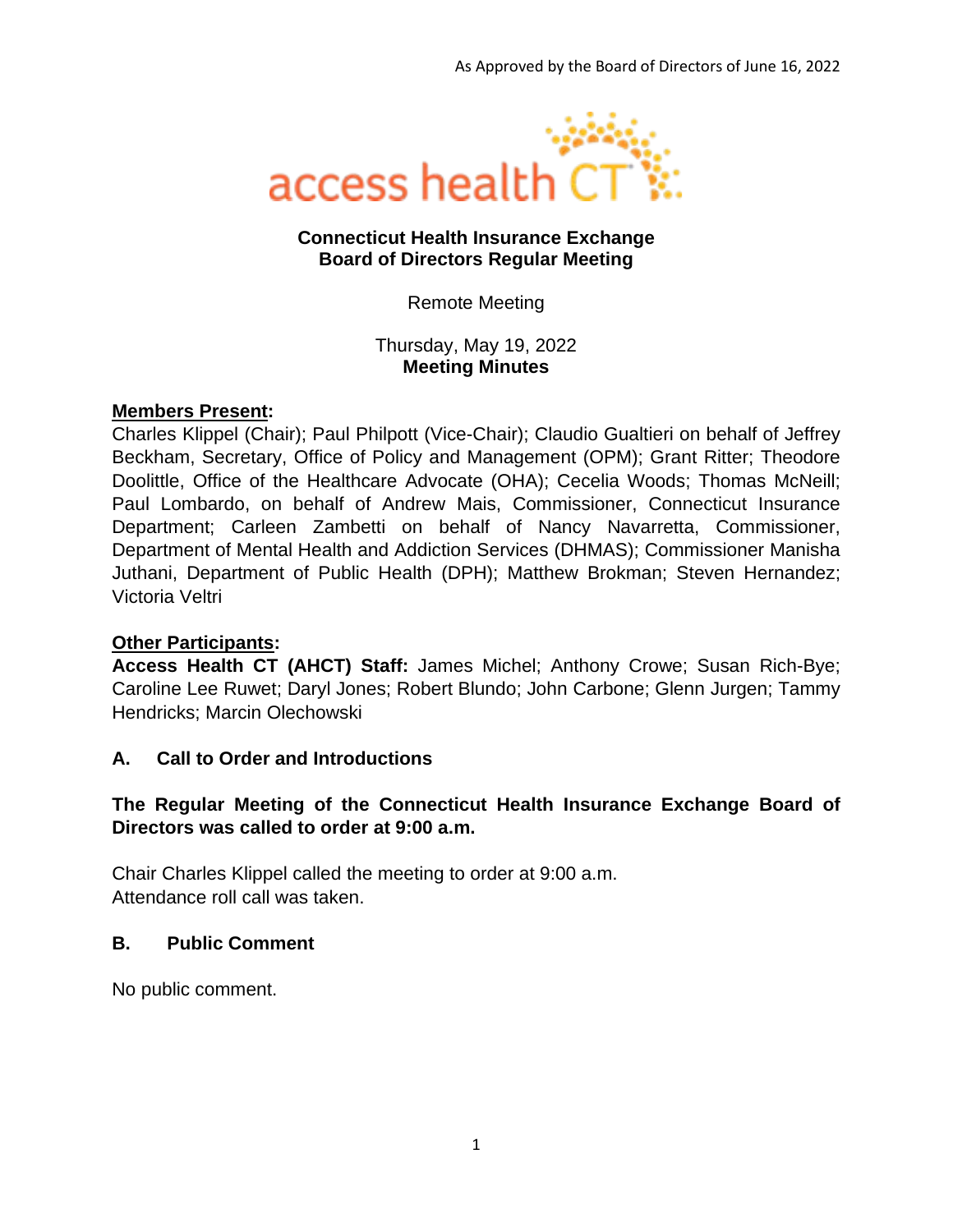

### **Connecticut Health Insurance Exchange Board of Directors Regular Meeting**

Remote Meeting

Thursday, May 19, 2022 **Meeting Minutes**

### **Members Present:**

Charles Klippel (Chair); Paul Philpott (Vice-Chair); Claudio Gualtieri on behalf of Jeffrey Beckham, Secretary, Office of Policy and Management (OPM); Grant Ritter; Theodore Doolittle, Office of the Healthcare Advocate (OHA); Cecelia Woods; Thomas McNeill; Paul Lombardo, on behalf of Andrew Mais, Commissioner, Connecticut Insurance Department; Carleen Zambetti on behalf of Nancy Navarretta, Commissioner, Department of Mental Health and Addiction Services (DHMAS); Commissioner Manisha Juthani, Department of Public Health (DPH); Matthew Brokman; Steven Hernandez; Victoria Veltri

### **Other Participants:**

**Access Health CT (AHCT) Staff:** James Michel; Anthony Crowe; Susan Rich-Bye; Caroline Lee Ruwet; Daryl Jones; Robert Blundo; John Carbone; Glenn Jurgen; Tammy Hendricks; Marcin Olechowski

### **A. Call to Order and Introductions**

### **The Regular Meeting of the Connecticut Health Insurance Exchange Board of Directors was called to order at 9:00 a.m.**

Chair Charles Klippel called the meeting to order at 9:00 a.m. Attendance roll call was taken.

### **B. Public Comment**

No public comment.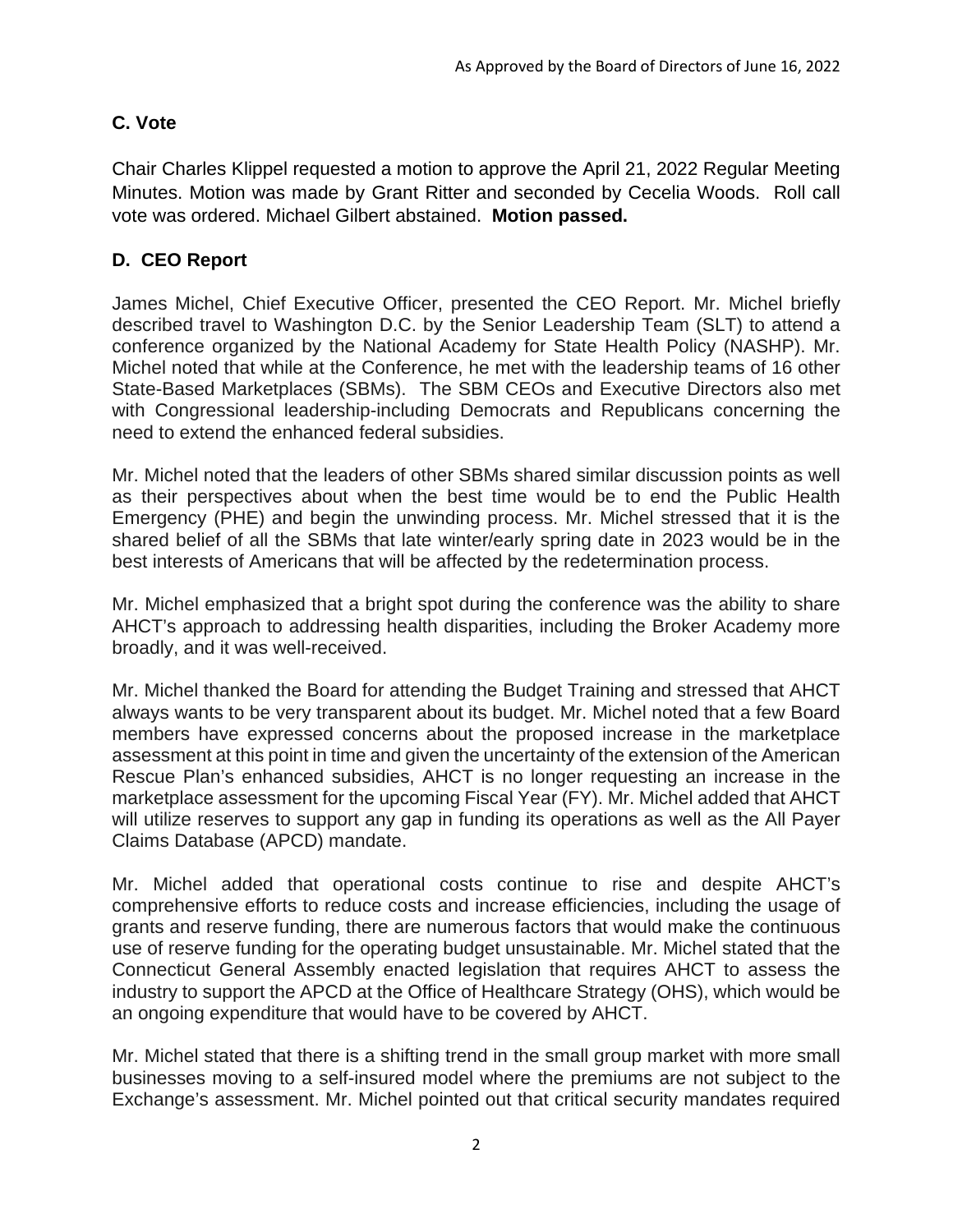# **C. Vote**

Chair Charles Klippel requested a motion to approve the April 21, 2022 Regular Meeting Minutes. Motion was made by Grant Ritter and seconded by Cecelia Woods. Roll call vote was ordered. Michael Gilbert abstained. **Motion passed.**

## **D. CEO Report**

James Michel, Chief Executive Officer, presented the CEO Report. Mr. Michel briefly described travel to Washington D.C. by the Senior Leadership Team (SLT) to attend a conference organized by the National Academy for State Health Policy (NASHP). Mr. Michel noted that while at the Conference, he met with the leadership teams of 16 other State-Based Marketplaces (SBMs). The SBM CEOs and Executive Directors also met with Congressional leadership-including Democrats and Republicans concerning the need to extend the enhanced federal subsidies.

Mr. Michel noted that the leaders of other SBMs shared similar discussion points as well as their perspectives about when the best time would be to end the Public Health Emergency (PHE) and begin the unwinding process. Mr. Michel stressed that it is the shared belief of all the SBMs that late winter/early spring date in 2023 would be in the best interests of Americans that will be affected by the redetermination process.

Mr. Michel emphasized that a bright spot during the conference was the ability to share AHCT's approach to addressing health disparities, including the Broker Academy more broadly, and it was well-received.

Mr. Michel thanked the Board for attending the Budget Training and stressed that AHCT always wants to be very transparent about its budget. Mr. Michel noted that a few Board members have expressed concerns about the proposed increase in the marketplace assessment at this point in time and given the uncertainty of the extension of the American Rescue Plan's enhanced subsidies, AHCT is no longer requesting an increase in the marketplace assessment for the upcoming Fiscal Year (FY). Mr. Michel added that AHCT will utilize reserves to support any gap in funding its operations as well as the All Payer Claims Database (APCD) mandate.

Mr. Michel added that operational costs continue to rise and despite AHCT's comprehensive efforts to reduce costs and increase efficiencies, including the usage of grants and reserve funding, there are numerous factors that would make the continuous use of reserve funding for the operating budget unsustainable. Mr. Michel stated that the Connecticut General Assembly enacted legislation that requires AHCT to assess the industry to support the APCD at the Office of Healthcare Strategy (OHS), which would be an ongoing expenditure that would have to be covered by AHCT.

Mr. Michel stated that there is a shifting trend in the small group market with more small businesses moving to a self-insured model where the premiums are not subject to the Exchange's assessment. Mr. Michel pointed out that critical security mandates required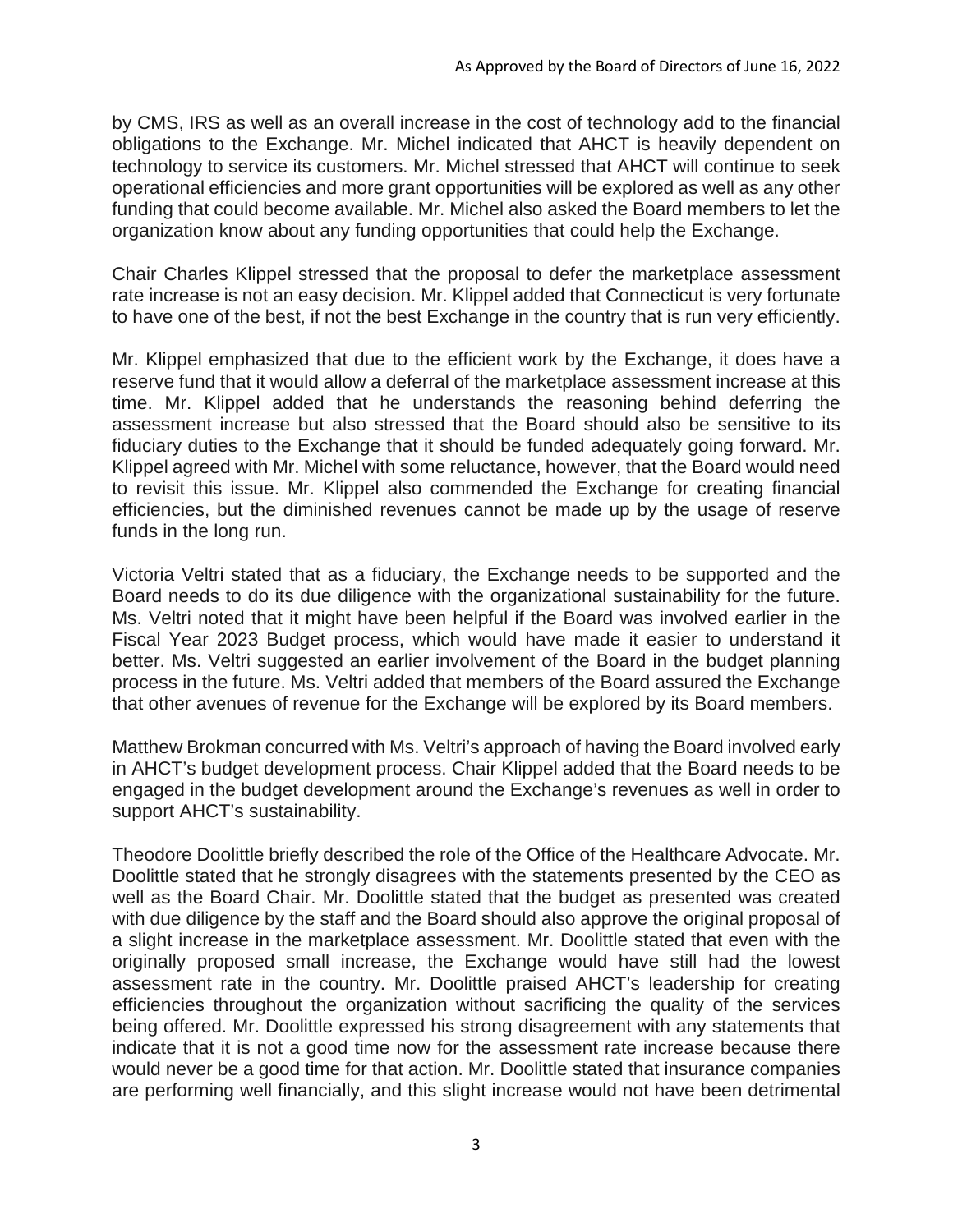by CMS, IRS as well as an overall increase in the cost of technology add to the financial obligations to the Exchange. Mr. Michel indicated that AHCT is heavily dependent on technology to service its customers. Mr. Michel stressed that AHCT will continue to seek operational efficiencies and more grant opportunities will be explored as well as any other funding that could become available. Mr. Michel also asked the Board members to let the organization know about any funding opportunities that could help the Exchange.

Chair Charles Klippel stressed that the proposal to defer the marketplace assessment rate increase is not an easy decision. Mr. Klippel added that Connecticut is very fortunate to have one of the best, if not the best Exchange in the country that is run very efficiently.

Mr. Klippel emphasized that due to the efficient work by the Exchange, it does have a reserve fund that it would allow a deferral of the marketplace assessment increase at this time. Mr. Klippel added that he understands the reasoning behind deferring the assessment increase but also stressed that the Board should also be sensitive to its fiduciary duties to the Exchange that it should be funded adequately going forward. Mr. Klippel agreed with Mr. Michel with some reluctance, however, that the Board would need to revisit this issue. Mr. Klippel also commended the Exchange for creating financial efficiencies, but the diminished revenues cannot be made up by the usage of reserve funds in the long run.

Victoria Veltri stated that as a fiduciary, the Exchange needs to be supported and the Board needs to do its due diligence with the organizational sustainability for the future. Ms. Veltri noted that it might have been helpful if the Board was involved earlier in the Fiscal Year 2023 Budget process, which would have made it easier to understand it better. Ms. Veltri suggested an earlier involvement of the Board in the budget planning process in the future. Ms. Veltri added that members of the Board assured the Exchange that other avenues of revenue for the Exchange will be explored by its Board members.

Matthew Brokman concurred with Ms. Veltri's approach of having the Board involved early in AHCT's budget development process. Chair Klippel added that the Board needs to be engaged in the budget development around the Exchange's revenues as well in order to support AHCT's sustainability.

Theodore Doolittle briefly described the role of the Office of the Healthcare Advocate. Mr. Doolittle stated that he strongly disagrees with the statements presented by the CEO as well as the Board Chair. Mr. Doolittle stated that the budget as presented was created with due diligence by the staff and the Board should also approve the original proposal of a slight increase in the marketplace assessment. Mr. Doolittle stated that even with the originally proposed small increase, the Exchange would have still had the lowest assessment rate in the country. Mr. Doolittle praised AHCT's leadership for creating efficiencies throughout the organization without sacrificing the quality of the services being offered. Mr. Doolittle expressed his strong disagreement with any statements that indicate that it is not a good time now for the assessment rate increase because there would never be a good time for that action. Mr. Doolittle stated that insurance companies are performing well financially, and this slight increase would not have been detrimental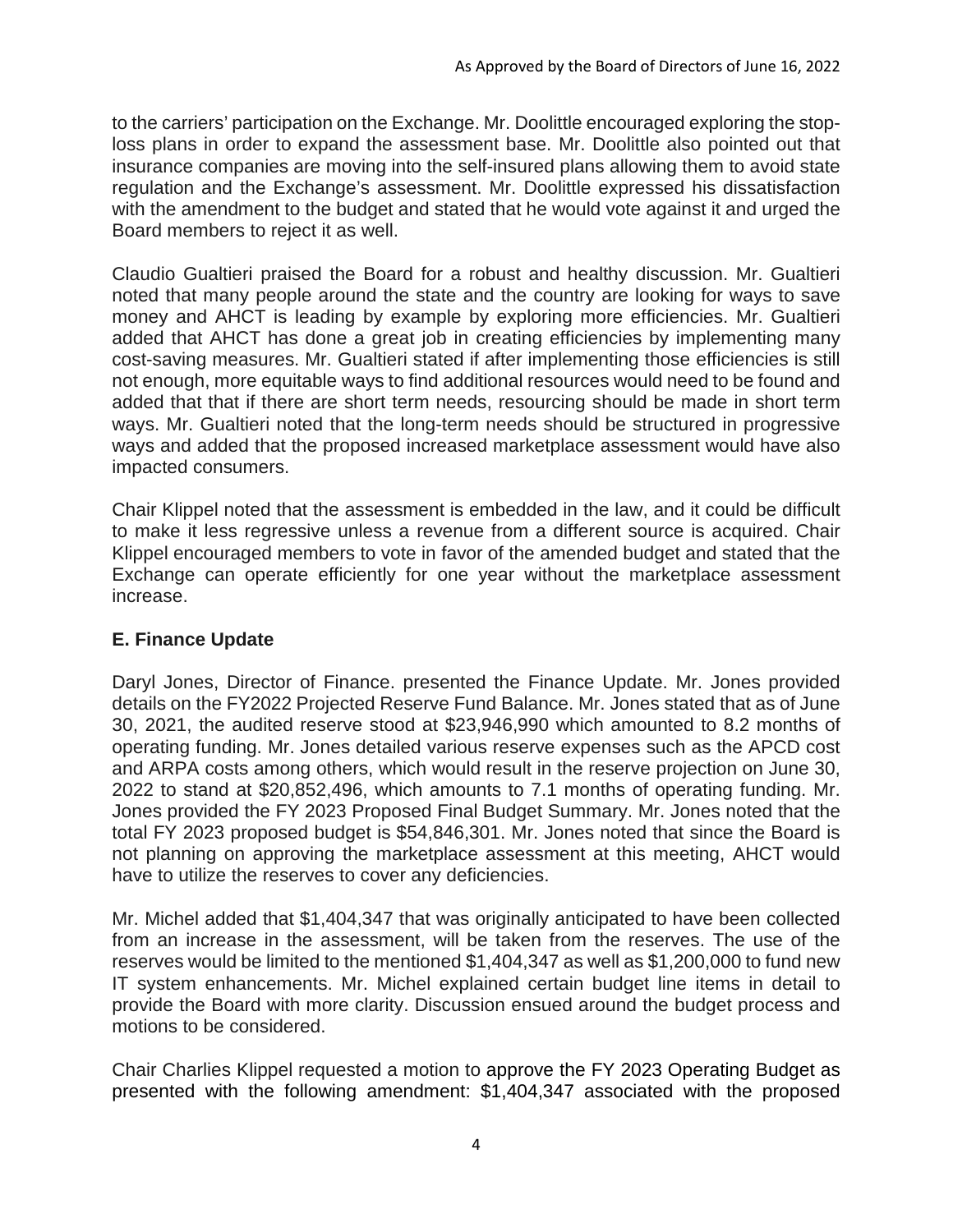to the carriers' participation on the Exchange. Mr. Doolittle encouraged exploring the stoploss plans in order to expand the assessment base. Mr. Doolittle also pointed out that insurance companies are moving into the self-insured plans allowing them to avoid state regulation and the Exchange's assessment. Mr. Doolittle expressed his dissatisfaction with the amendment to the budget and stated that he would vote against it and urged the Board members to reject it as well.

Claudio Gualtieri praised the Board for a robust and healthy discussion. Mr. Gualtieri noted that many people around the state and the country are looking for ways to save money and AHCT is leading by example by exploring more efficiencies. Mr. Gualtieri added that AHCT has done a great job in creating efficiencies by implementing many cost-saving measures. Mr. Gualtieri stated if after implementing those efficiencies is still not enough, more equitable ways to find additional resources would need to be found and added that that if there are short term needs, resourcing should be made in short term ways. Mr. Gualtieri noted that the long-term needs should be structured in progressive ways and added that the proposed increased marketplace assessment would have also impacted consumers.

Chair Klippel noted that the assessment is embedded in the law, and it could be difficult to make it less regressive unless a revenue from a different source is acquired. Chair Klippel encouraged members to vote in favor of the amended budget and stated that the Exchange can operate efficiently for one year without the marketplace assessment increase.

### **E. Finance Update**

Daryl Jones, Director of Finance. presented the Finance Update. Mr. Jones provided details on the FY2022 Projected Reserve Fund Balance. Mr. Jones stated that as of June 30, 2021, the audited reserve stood at \$23,946,990 which amounted to 8.2 months of operating funding. Mr. Jones detailed various reserve expenses such as the APCD cost and ARPA costs among others, which would result in the reserve projection on June 30, 2022 to stand at \$20,852,496, which amounts to 7.1 months of operating funding. Mr. Jones provided the FY 2023 Proposed Final Budget Summary. Mr. Jones noted that the total FY 2023 proposed budget is \$54,846,301. Mr. Jones noted that since the Board is not planning on approving the marketplace assessment at this meeting, AHCT would have to utilize the reserves to cover any deficiencies.

Mr. Michel added that \$1,404,347 that was originally anticipated to have been collected from an increase in the assessment, will be taken from the reserves. The use of the reserves would be limited to the mentioned \$1,404,347 as well as \$1,200,000 to fund new IT system enhancements. Mr. Michel explained certain budget line items in detail to provide the Board with more clarity. Discussion ensued around the budget process and motions to be considered.

Chair Charlies Klippel requested a motion to approve the FY 2023 Operating Budget as presented with the following amendment: \$1,404,347 associated with the proposed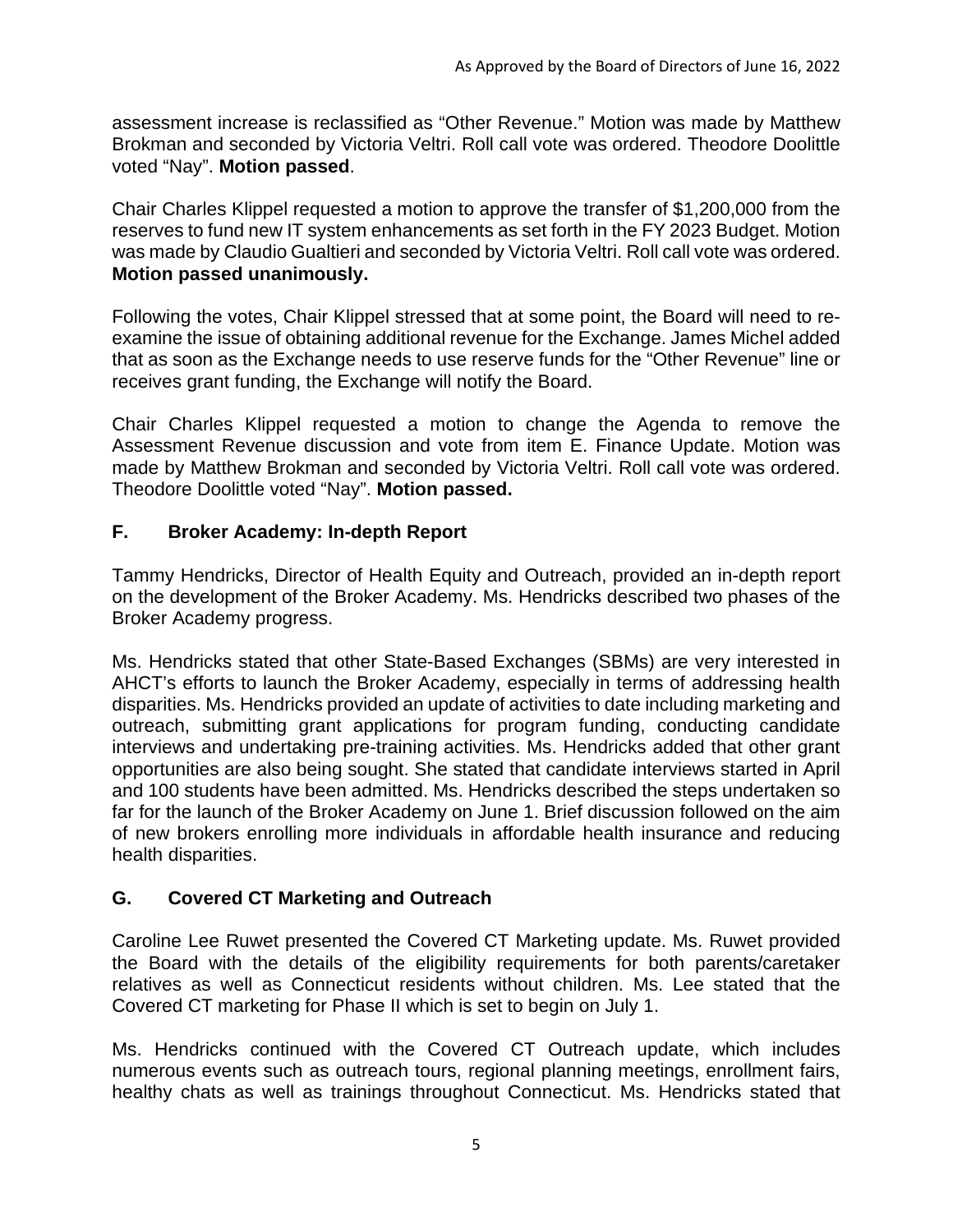assessment increase is reclassified as "Other Revenue." Motion was made by Matthew Brokman and seconded by Victoria Veltri. Roll call vote was ordered. Theodore Doolittle voted "Nay". **Motion passed**.

Chair Charles Klippel requested a motion to approve the transfer of \$1,200,000 from the reserves to fund new IT system enhancements as set forth in the FY 2023 Budget. Motion was made by Claudio Gualtieri and seconded by Victoria Veltri. Roll call vote was ordered. **Motion passed unanimously.** 

Following the votes, Chair Klippel stressed that at some point, the Board will need to reexamine the issue of obtaining additional revenue for the Exchange. James Michel added that as soon as the Exchange needs to use reserve funds for the "Other Revenue" line or receives grant funding, the Exchange will notify the Board.

Chair Charles Klippel requested a motion to change the Agenda to remove the Assessment Revenue discussion and vote from item E. Finance Update. Motion was made by Matthew Brokman and seconded by Victoria Veltri. Roll call vote was ordered. Theodore Doolittle voted "Nay". **Motion passed.**

### **F. Broker Academy: In-depth Report**

Tammy Hendricks, Director of Health Equity and Outreach, provided an in-depth report on the development of the Broker Academy. Ms. Hendricks described two phases of the Broker Academy progress.

Ms. Hendricks stated that other State-Based Exchanges (SBMs) are very interested in AHCT's efforts to launch the Broker Academy, especially in terms of addressing health disparities. Ms. Hendricks provided an update of activities to date including marketing and outreach, submitting grant applications for program funding, conducting candidate interviews and undertaking pre-training activities. Ms. Hendricks added that other grant opportunities are also being sought. She stated that candidate interviews started in April and 100 students have been admitted. Ms. Hendricks described the steps undertaken so far for the launch of the Broker Academy on June 1. Brief discussion followed on the aim of new brokers enrolling more individuals in affordable health insurance and reducing health disparities.

### **G. Covered CT Marketing and Outreach**

Caroline Lee Ruwet presented the Covered CT Marketing update. Ms. Ruwet provided the Board with the details of the eligibility requirements for both parents/caretaker relatives as well as Connecticut residents without children. Ms. Lee stated that the Covered CT marketing for Phase II which is set to begin on July 1.

Ms. Hendricks continued with the Covered CT Outreach update, which includes numerous events such as outreach tours, regional planning meetings, enrollment fairs, healthy chats as well as trainings throughout Connecticut. Ms. Hendricks stated that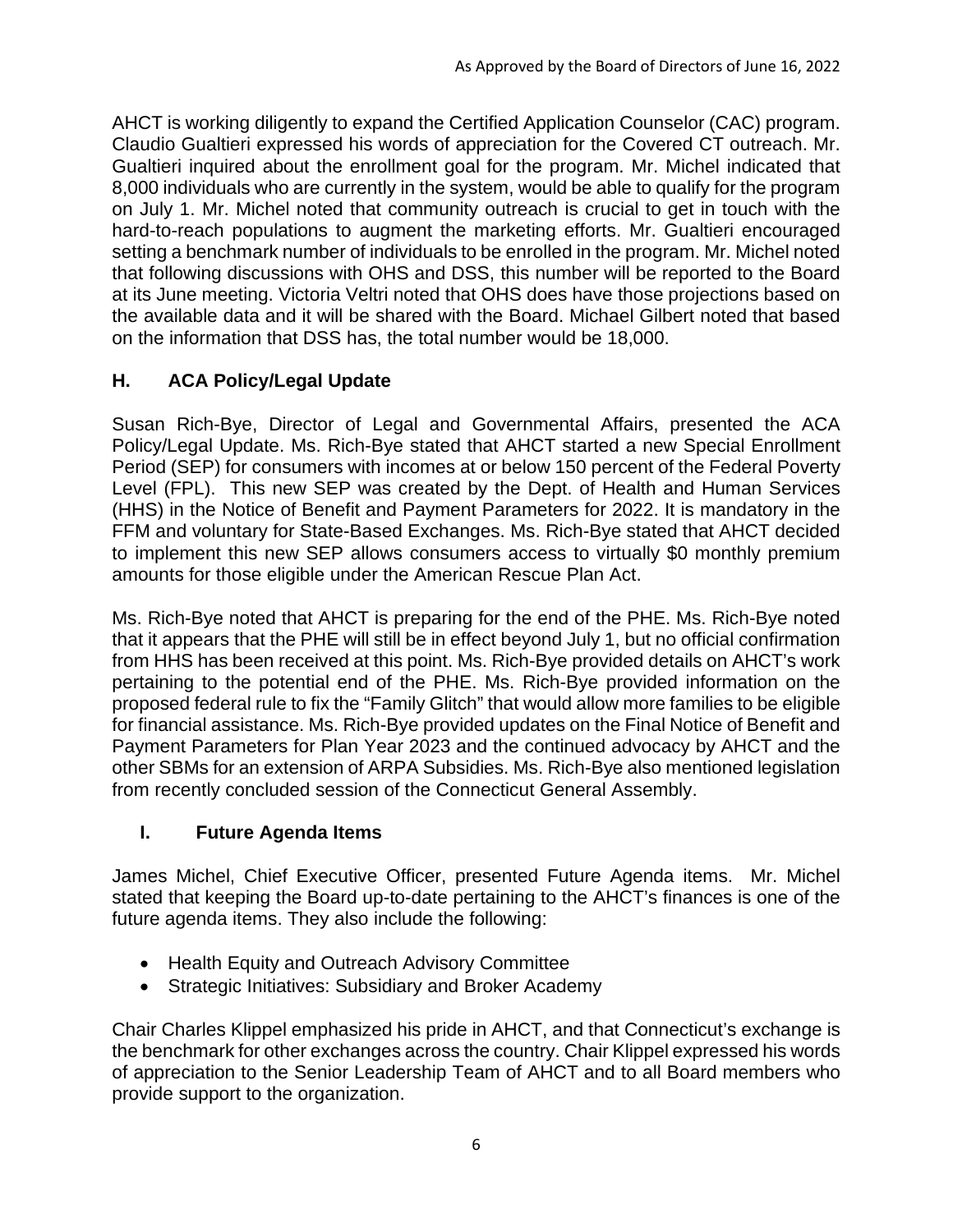AHCT is working diligently to expand the Certified Application Counselor (CAC) program. Claudio Gualtieri expressed his words of appreciation for the Covered CT outreach. Mr. Gualtieri inquired about the enrollment goal for the program. Mr. Michel indicated that 8,000 individuals who are currently in the system, would be able to qualify for the program on July 1. Mr. Michel noted that community outreach is crucial to get in touch with the hard-to-reach populations to augment the marketing efforts. Mr. Gualtieri encouraged setting a benchmark number of individuals to be enrolled in the program. Mr. Michel noted that following discussions with OHS and DSS, this number will be reported to the Board at its June meeting. Victoria Veltri noted that OHS does have those projections based on the available data and it will be shared with the Board. Michael Gilbert noted that based on the information that DSS has, the total number would be 18,000.

# **H. ACA Policy/Legal Update**

Susan Rich-Bye, Director of Legal and Governmental Affairs, presented the ACA Policy/Legal Update. Ms. Rich-Bye stated that AHCT started a new Special Enrollment Period (SEP) for consumers with incomes at or below 150 percent of the Federal Poverty Level (FPL). This new SEP was created by the Dept. of Health and Human Services (HHS) in the Notice of Benefit and Payment Parameters for 2022. It is mandatory in the FFM and voluntary for State-Based Exchanges. Ms. Rich-Bye stated that AHCT decided to implement this new SEP allows consumers access to virtually \$0 monthly premium amounts for those eligible under the American Rescue Plan Act.

Ms. Rich-Bye noted that AHCT is preparing for the end of the PHE. Ms. Rich-Bye noted that it appears that the PHE will still be in effect beyond July 1, but no official confirmation from HHS has been received at this point. Ms. Rich-Bye provided details on AHCT's work pertaining to the potential end of the PHE. Ms. Rich-Bye provided information on the proposed federal rule to fix the "Family Glitch" that would allow more families to be eligible for financial assistance. Ms. Rich-Bye provided updates on the Final Notice of Benefit and Payment Parameters for Plan Year 2023 and the continued advocacy by AHCT and the other SBMs for an extension of ARPA Subsidies. Ms. Rich-Bye also mentioned legislation from recently concluded session of the Connecticut General Assembly.

### **I. Future Agenda Items**

James Michel, Chief Executive Officer, presented Future Agenda items. Mr. Michel stated that keeping the Board up-to-date pertaining to the AHCT's finances is one of the future agenda items. They also include the following:

- Health Equity and Outreach Advisory Committee
- Strategic Initiatives: Subsidiary and Broker Academy

Chair Charles Klippel emphasized his pride in AHCT, and that Connecticut's exchange is the benchmark for other exchanges across the country. Chair Klippel expressed his words of appreciation to the Senior Leadership Team of AHCT and to all Board members who provide support to the organization.